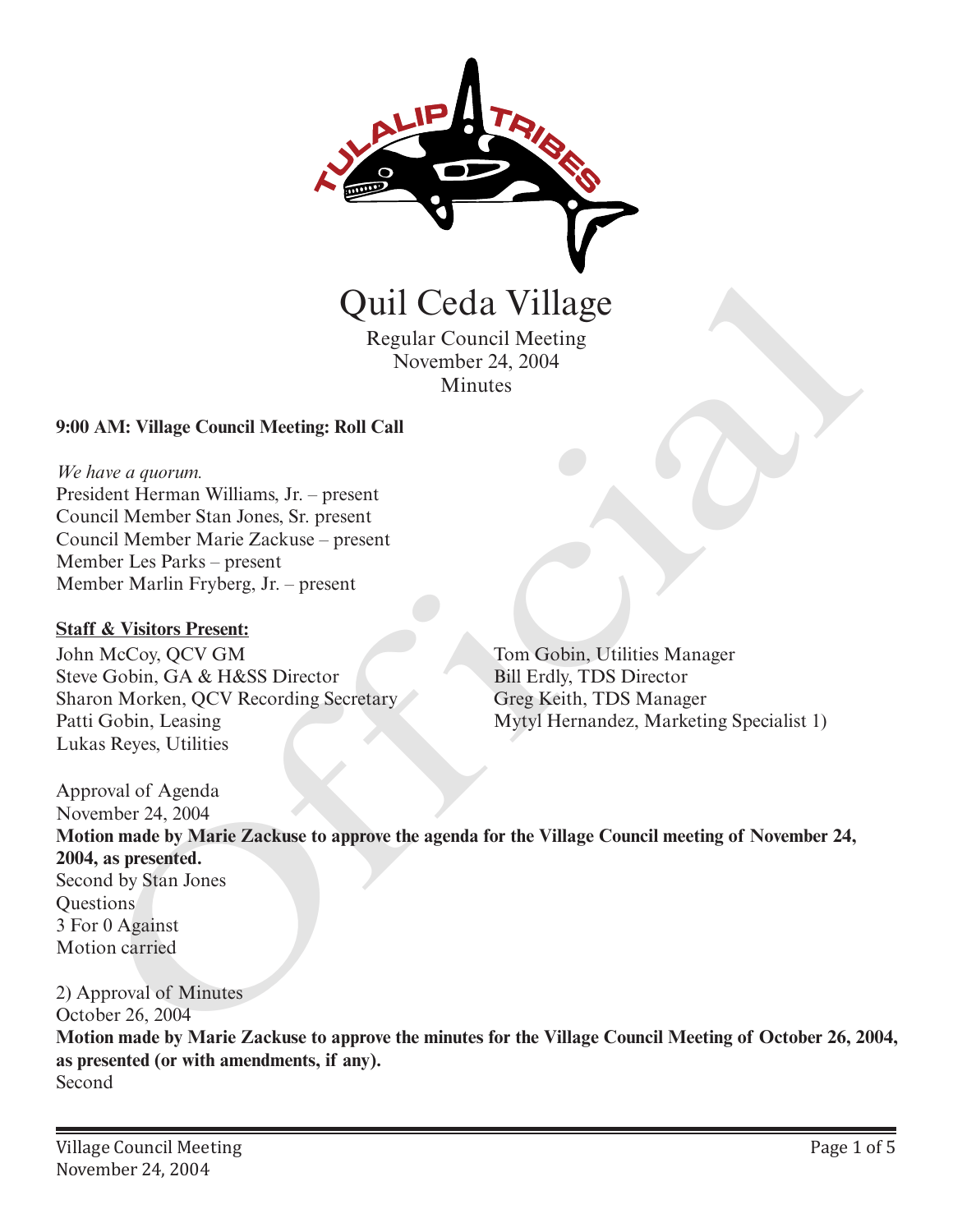

Quil Ceda Village

Regular Council Meeting November 24, 2004 Minutes

### **9:00 AM: Village Council Meeting: Roll Call**

#### *We have a quorum.*

President Herman Williams, Jr. – present Council Member Stan Jones, Sr. present Council Member Marie Zackuse – present Member Les Parks – present Member Marlin Fryberg, Jr. – present

### **Staff & Visitors Present:**

John McCoy, QCV GM Steve Gobin, GA & H&SS Director Sharon Morken, QCV Recording Secretary Patti Gobin, Leasing Lukas Reyes, Utilities

Tom Gobin, Utilities Manager Bill Erdly, TDS Director Greg Keith, TDS Manager Mytyl Hernandez, Marketing Specialist 1)

Approval of Agenda November 24, 2004 **Motion made by Marie Zackuse to approve the agenda for the Village Council meeting of November 24, 2004, as presented.** Second by Stan Jones **Ouestions** 3 For 0 Against Motion carried Quil Ceda Village<br>
Regular Council Meeting<br>
November 24, 2004<br>
Minutes<br>
AM: Village Council Meeting: Roll Call<br>
Mariner Sin Jones, Sr. present<br>
dent Herman Williams, Jr. – present<br>
heir Herman Williams, Jr. – present<br>
heir

2) Approval of Minutes October 26, 2004 **Motion made by Marie Zackuse to approve the minutes for the Village Council Meeting of October 26, 2004, as presented (or with amendments, if any).**  Second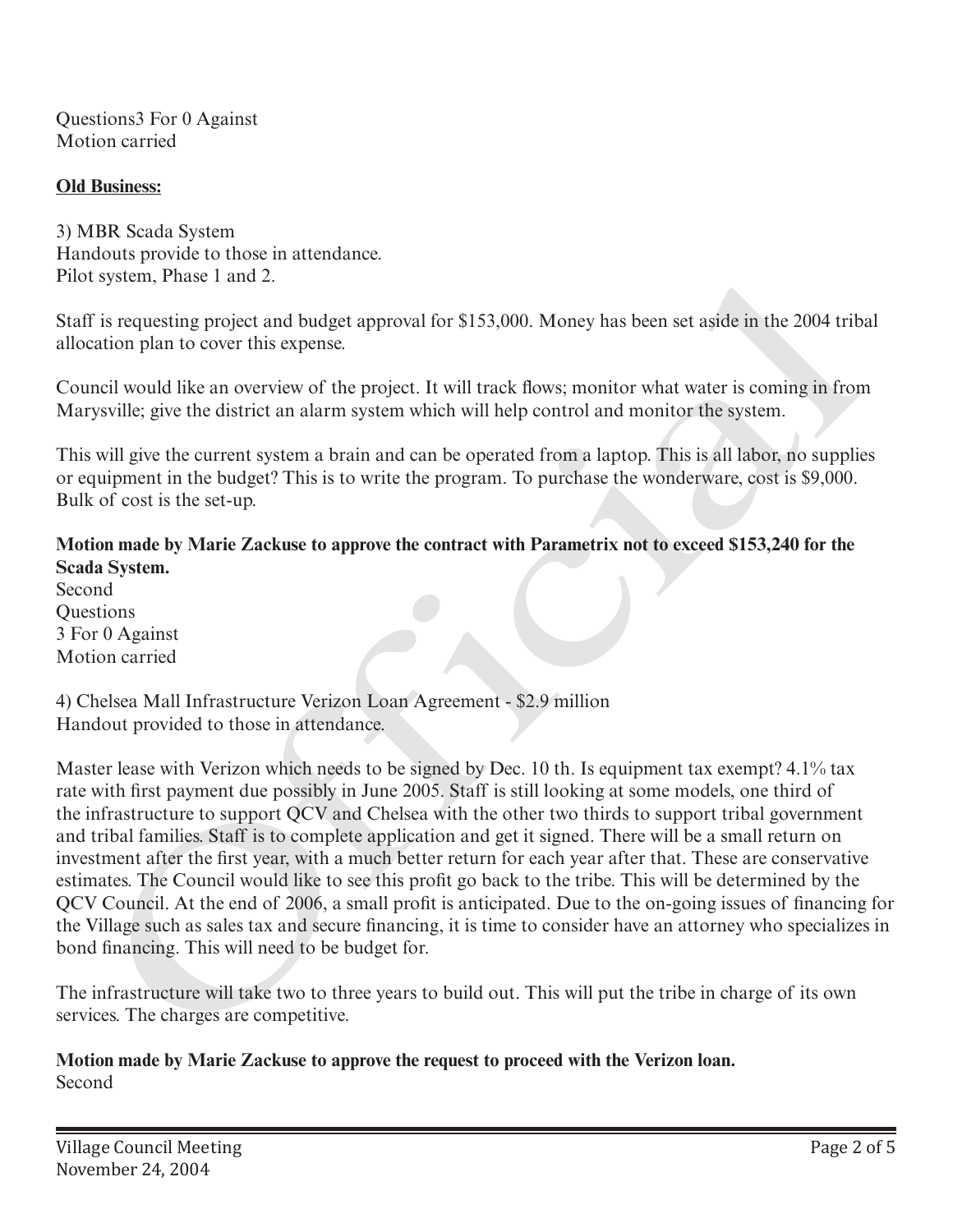Questions3 For 0 Against Motion carried

## **Old Business:**

3) MBR Scada System Handouts provide to those in attendance. Pilot system, Phase 1 and 2.

Staff is requesting project and budget approval for \$153,000. Money has been set aside in the 2004 tribal allocation plan to cover this expense.

Council would like an overview of the project. It will track flows; monitor what water is coming in from Marysville; give the district an alarm system which will help control and monitor the system.

This will give the current system a brain and can be operated from a laptop. This is all labor, no supplies or equipment in the budget? This is to write the program. To purchase the wonderware, cost is \$9,000. Bulk of cost is the set-up.

# **Motion made by Marie Zackuse to approve the contract with Parametrix not to exceed \$153,240 for the Scada System.**

Second **Ouestions** 3 For 0 Against Motion carried

4) Chelsea Mall Infrastructure Verizon Loan Agreement - \$2.9 million Handout provided to those in attendance.

Master lease with Verizon which needs to be signed by Dec. 10 th. Is equipment tax exempt? 4.1% tax rate with first payment due possibly in June 2005. Staff is still looking at some models, one third of the infrastructure to support QCV and Chelsea with the other two thirds to support tribal government and tribal families. Staff is to complete application and get it signed. There will be a small return on investment after the first year, with a much better return for each year after that. These are conservative estimates. The Council would like to see this profit go back to the tribe. This will be determined by the QCV Council. At the end of 2006, a small profit is anticipated. Due to the on-going issues of financing for the Village such as sales tax and secure financing, it is time to consider have an attorney who specializes in bond financing. This will need to be budget for. system, Phase 1 and 2.<br>
is requesting project and budget approval for \$153,000. Money has been set aside in the 2004 trib<br>
is requesting project and budget approval for \$153,000. Money has been set aside in the 2004 trib<br>

The infrastructure will take two to three years to build out. This will put the tribe in charge of its own services. The charges are competitive.

**Motion made by Marie Zackuse to approve the request to proceed with the Verizon loan.**  Second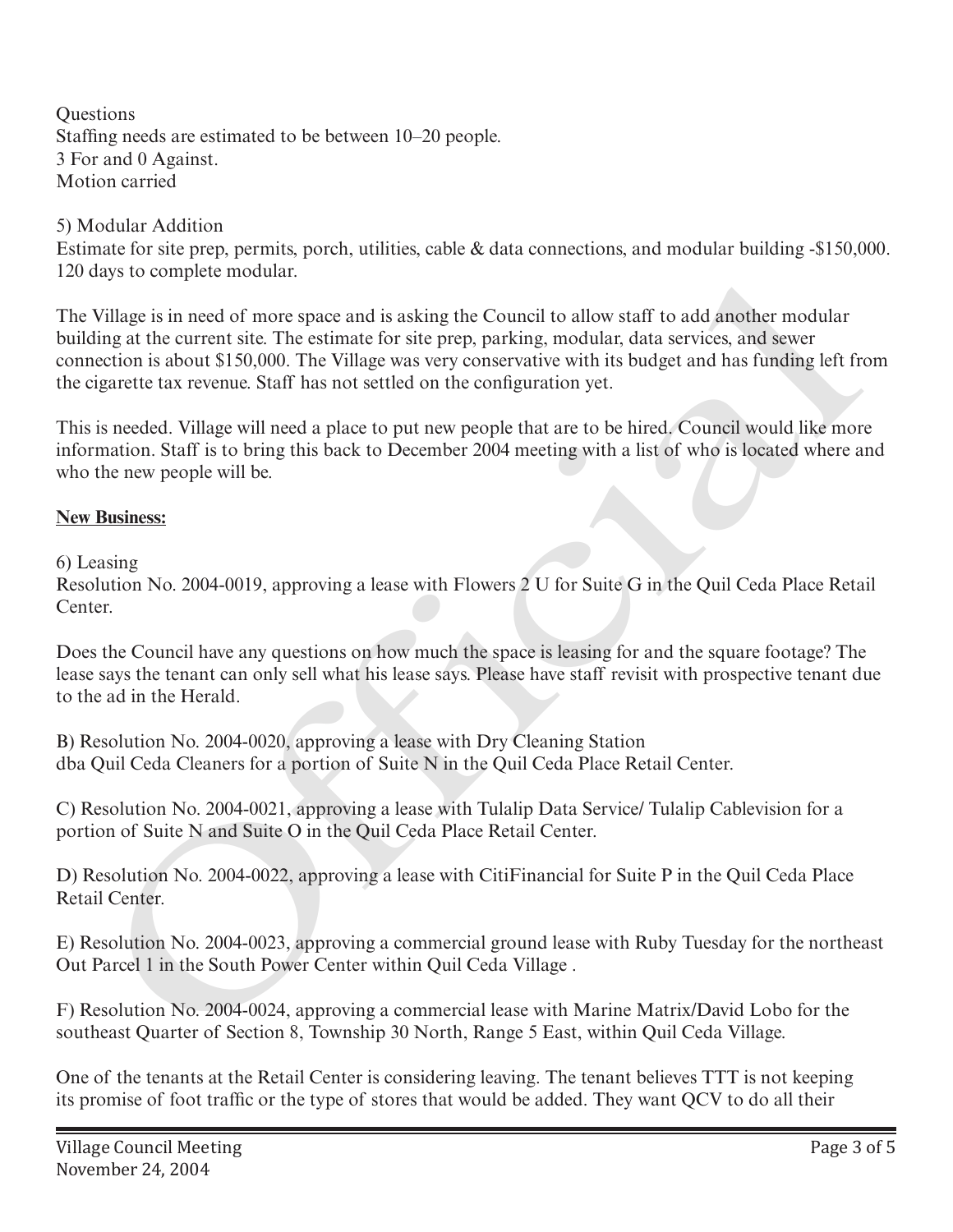**Ouestions** Staffing needs are estimated to be between 10–20 people. 3 For and 0 Against. Motion carried

5) Modular Addition

Estimate for site prep, permits, porch, utilities, cable & data connections, and modular building -\$150,000. 120 days to complete modular.

The Village is in need of more space and is asking the Council to allow staff to add another modular building at the current site. The estimate for site prep, parking, modular, data services, and sewer connection is about \$150,000. The Village was very conservative with its budget and has funding left from the cigarette tax revenue. Staff has not settled on the configuration yet. will age is in need of more space and is asking the Council to allow staff to add another modular<br>Village is in need of more space and is asking the Council to allow staff to add another modular<br>ling at the current site. T

This is needed. Village will need a place to put new people that are to be hired. Council would like more information. Staff is to bring this back to December 2004 meeting with a list of who is located where and who the new people will be.

# **New Business:**

6) Leasing

Resolution No. 2004-0019, approving a lease with Flowers 2 U for Suite G in the Quil Ceda Place Retail Center.

Does the Council have any questions on how much the space is leasing for and the square footage? The lease says the tenant can only sell what his lease says. Please have staff revisit with prospective tenant due to the ad in the Herald.

B) Resolution No. 2004-0020, approving a lease with Dry Cleaning Station dba Quil Ceda Cleaners for a portion of Suite N in the Quil Ceda Place Retail Center.

C) Resolution No. 2004-0021, approving a lease with Tulalip Data Service/ Tulalip Cablevision for a portion of Suite N and Suite O in the Quil Ceda Place Retail Center.

D) Resolution No. 2004-0022, approving a lease with CitiFinancial for Suite P in the Quil Ceda Place Retail Center.

E) Resolution No. 2004-0023, approving a commercial ground lease with Ruby Tuesday for the northeast Out Parcel 1 in the South Power Center within Quil Ceda Village .

F) Resolution No. 2004-0024, approving a commercial lease with Marine Matrix/David Lobo for the southeast Quarter of Section 8, Township 30 North, Range 5 East, within Quil Ceda Village.

One of the tenants at the Retail Center is considering leaving. The tenant believes TTT is not keeping its promise of foot traffic or the type of stores that would be added. They want QCV to do all their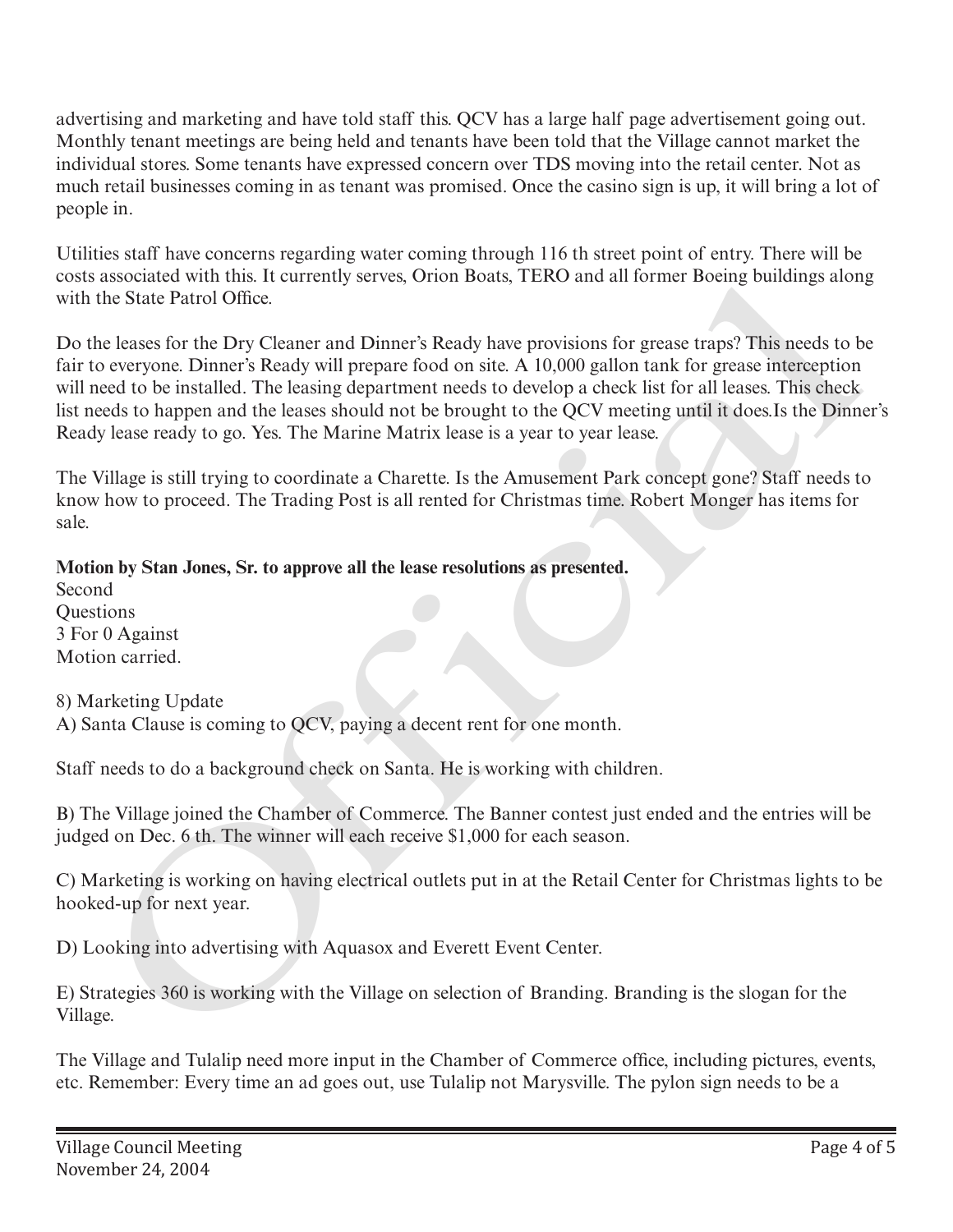advertising and marketing and have told staff this. QCV has a large half page advertisement going out. Monthly tenant meetings are being held and tenants have been told that the Village cannot market the individual stores. Some tenants have expressed concern over TDS moving into the retail center. Not as much retail businesses coming in as tenant was promised. Once the casino sign is up, it will bring a lot of people in.

Utilities staff have concerns regarding water coming through 116 th street point of entry. There will be costs associated with this. It currently serves, Orion Boats, TERO and all former Boeing buildings along with the State Patrol Office.

Do the leases for the Dry Cleaner and Dinner's Ready have provisions for grease traps? This needs to be fair to everyone. Dinner's Ready will prepare food on site. A 10,000 gallon tank for grease interception will need to be installed. The leasing department needs to develop a check list for all leases. This check list needs to happen and the leases should not be brought to the QCV meeting until it does.Is the Dinner's Ready lease ready to go. Yes. The Marine Matrix lease is a year to year lease. associated with this. It currently serves, Orion Boats, 1 EHO and all former froeing buildings alon<br>the State Patrol Office.<br>The State Patrol Office.<br>The leases for the Dry Cleaner and Dinner's Ready have provisions for gr

The Village is still trying to coordinate a Charette. Is the Amusement Park concept gone? Staff needs to know how to proceed. The Trading Post is all rented for Christmas time. Robert Monger has items for sale.

# **Motion by Stan Jones, Sr. to approve all the lease resolutions as presented.**

Second **Ouestions** 3 For 0 Against Motion carried.

8) Marketing Update A) Santa Clause is coming to QCV, paying a decent rent for one month.

Staff needs to do a background check on Santa. He is working with children.

B) The Village joined the Chamber of Commerce. The Banner contest just ended and the entries will be judged on Dec. 6 th. The winner will each receive \$1,000 for each season.

C) Marketing is working on having electrical outlets put in at the Retail Center for Christmas lights to be hooked-up for next year.

D) Looking into advertising with Aquasox and Everett Event Center.

E) Strategies 360 is working with the Village on selection of Branding. Branding is the slogan for the Village.

The Village and Tulalip need more input in the Chamber of Commerce office, including pictures, events, etc. Remember: Every time an ad goes out, use Tulalip not Marysville. The pylon sign needs to be a